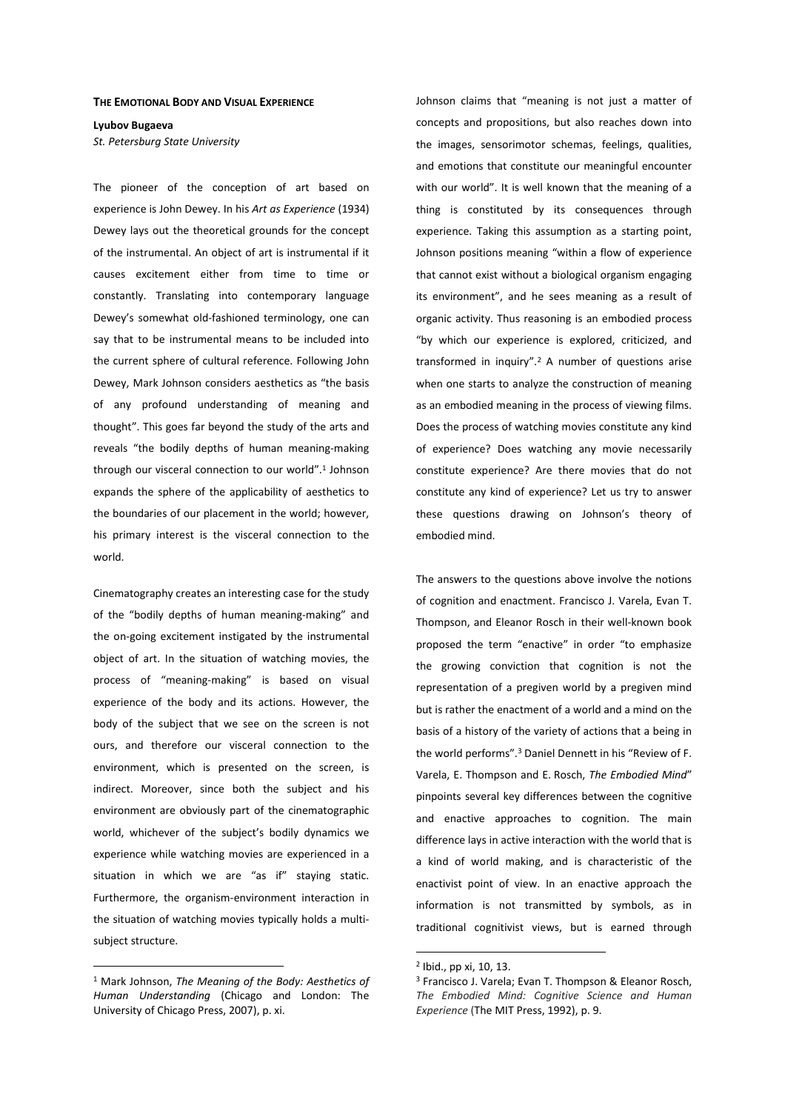## **THE EMOTIONAL BODY AND VISUAL EXPERIENCE**

**Lyubov Bugaeva**  *St. Petersburg State University* 

The pioneer of the conception of art based on experience is John Dewey. In his *Art as Experience* (1934) Dewey lays out the theoretical grounds for the concept of the instrumental. An object of art is instrumental if it causes excitement either from time to time or constantly. Translating into contemporary language Dewey's somewhat old-fashioned terminology, one can say that to be instrumental means to be included into the current sphere of cultural reference. Following John Dewey, Mark Johnson considers aesthetics as "the basis of any profound understanding of meaning and thought". This goes far beyond the study of the arts and reveals "the bodily depths of human meaning-making through our visceral connection to our world".<sup>1</sup> Johnson expands the sphere of the applicability of aesthetics to the boundaries of our placement in the world; however, his primary interest is the visceral connection to the world.

Cinematography creates an interesting case for the study of the "bodily depths of human meaning-making" and the on-going excitement instigated by the instrumental object of art. In the situation of watching movies, the process of "meaning-making" is based on visual experience of the body and its actions. However, the body of the subject that we see on the screen is not ours, and therefore our visceral connection to the environment, which is presented on the screen, is indirect. Moreover, since both the subject and his environment are obviously part of the cinematographic world, whichever of the subject's bodily dynamics we experience while watching movies are experienced in a situation in which we are "as if" staying static. Furthermore, the organism-environment interaction in the situation of watching movies typically holds a multisubject structure.

 $\overline{a}$ 

Johnson claims that "meaning is not just a matter of concepts and propositions, but also reaches down into the images, sensorimotor schemas, feelings, qualities, and emotions that constitute our meaningful encounter with our world". It is well known that the meaning of a thing is constituted by its consequences through experience. Taking this assumption as a starting point, Johnson positions meaning "within a flow of experience that cannot exist without a biological organism engaging its environment", and he sees meaning as a result of organic activity. Thus reasoning is an embodied process "by which our experience is explored, criticized, and transformed in inquiry".<sup>2</sup> A number of questions arise when one starts to analyze the construction of meaning as an embodied meaning in the process of viewing films. Does the process of watching movies constitute any kind of experience? Does watching any movie necessarily constitute experience? Are there movies that do not constitute any kind of experience? Let us try to answer these questions drawing on Johnson's theory of embodied mind.

The answers to the questions above involve the notions of cognition and enactment. Francisco J. Varela, Evan T. Thompson, and Eleanor Rosch in their well-known book proposed the term "enactive" in order "to emphasize the growing conviction that cognition is not the representation of a pregiven world by a pregiven mind but is rather the enactment of a world and a mind on the basis of a history of the variety of actions that a being in the world performs".<sup>3</sup> Daniel Dennett in his "Review of F. Varela, E. Thompson and E. Rosch, *The Embodied Mind*" pinpoints several key differences between the cognitive and enactive approaches to cognition. The main difference lays in active interaction with the world that is a kind of world making, and is characteristic of the enactivist point of view. In an enactive approach the information is not transmitted by symbols, as in traditional cognitivist views, but is earned through

<sup>1</sup> Mark Johnson, *The Meaning of the Body: Aesthetics of Human Understanding* (Chicago and London: The University of Chicago Press, 2007), p. xi.

<sup>2</sup> Ibid., pp xi, 10, 13.

<sup>3</sup> Francisco J. Varela; Evan T. Thompson & Eleanor Rosch, *The Embodied Mind: Cognitive Science and Human Experience* (The MIT Press, 1992), p. 9.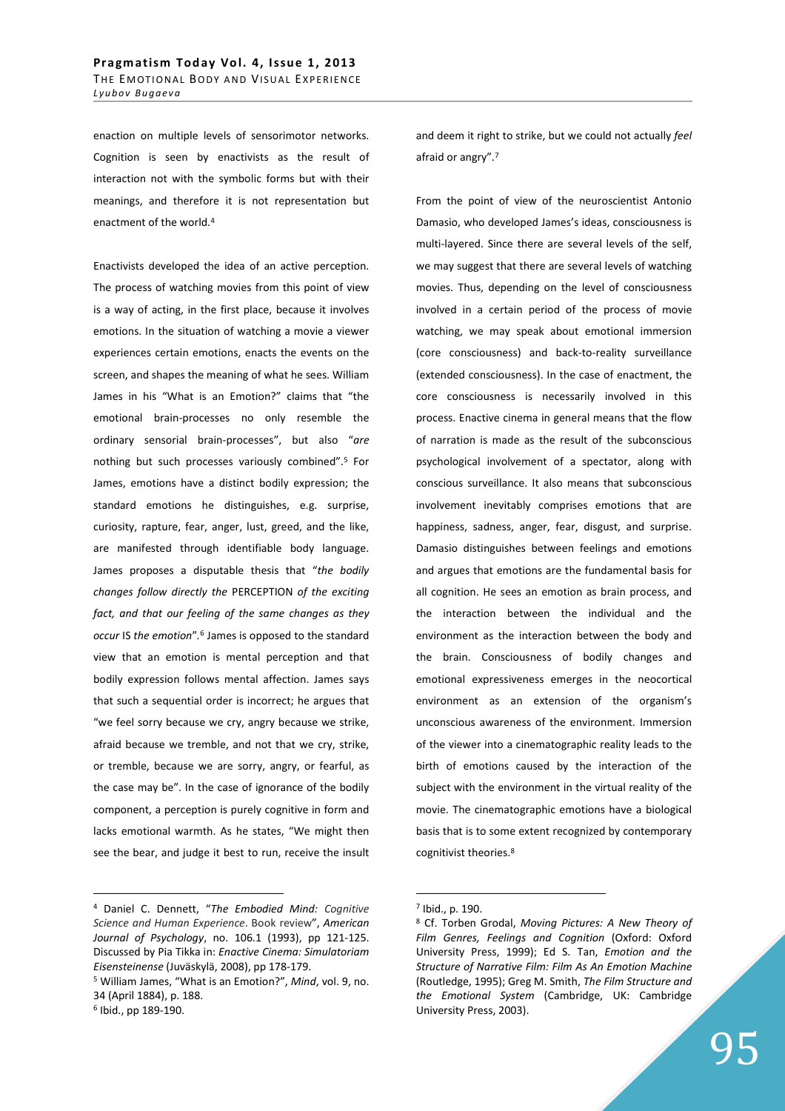enaction on multiple levels of sensorimotor networks. Cognition is seen by enactivists as the result of interaction not with the symbolic forms but with their meanings, and therefore it is not representation but enactment of the world.<sup>4</sup>

Enactivists developed the idea of an active perception. The process of watching movies from this point of view is a way of acting, in the first place, because it involves emotions. In the situation of watching a movie a viewer experiences certain emotions, enacts the events on the screen, and shapes the meaning of what he sees. William James in his "What is an Emotion?" claims that "the emotional brain-processes no only resemble the ordinary sensorial brain-processes", but also "*are*  nothing but such processes variously combined".<sup>5</sup> For James, emotions have a distinct bodily expression; the standard emotions he distinguishes, e.g. surprise, curiosity, rapture, fear, anger, lust, greed, and the like, are manifested through identifiable body language. James proposes a disputable thesis that "*the bodily changes follow directly the* PERCEPTION *of the exciting fact, and that our feeling of the same changes as they occur* IS *the emotion*"*.* 6 James is opposed to the standard view that an emotion is mental perception and that bodily expression follows mental affection. James says that such a sequential order is incorrect; he argues that "we feel sorry because we cry, angry because we strike, afraid because we tremble, and not that we cry, strike, or tremble, because we are sorry, angry, or fearful, as the case may be". In the case of ignorance of the bodily component, a perception is purely cognitive in form and lacks emotional warmth. As he states, "We might then see the bear, and judge it best to run, receive the insult

 $\overline{a}$ 

and deem it right to strike, but we could not actually *feel*  afraid or angry".<sup>7</sup>

From the point of view of the neuroscientist Antonio Damasio, who developed James's ideas, consciousness is multi-layered. Since there are several levels of the self, we may suggest that there are several levels of watching movies. Thus, depending on the level of consciousness involved in a certain period of the process of movie watching, we may speak about emotional immersion (core consciousness) and back-to-reality surveillance (extended consciousness). In the case of enactment, the core consciousness is necessarily involved in this process. Enactive cinema in general means that the flow of narration is made as the result of the subconscious psychological involvement of a spectator, along with conscious surveillance. It also means that subconscious involvement inevitably comprises emotions that are happiness, sadness, anger, fear, disgust, and surprise. Damasio distinguishes between feelings and emotions and argues that emotions are the fundamental basis for all cognition. He sees an emotion as brain process, and the interaction between the individual and the environment as the interaction between the body and the brain. Consciousness of bodily changes and emotional expressiveness emerges in the neocortical environment as an extension of the organism's unconscious awareness of the environment. Immersion of the viewer into a cinematographic reality leads to the birth of emotions caused by the interaction of the subject with the environment in the virtual reality of the movie. The cinematographic emotions have a biological basis that is to some extent recognized by contemporary cognitivist theories.<sup>8</sup>

<sup>4</sup> Daniel C. Dennett, "*The Embodied Mind: Cognitive Science and Human Experience*. Book review", *American Journal of Psychology*, no. 106.1 (1993), pp 121-125. Discussed by Pia Tikka in: *Enactive Cinema: Simulatoriam Eisensteinense* (Juväskylä, 2008), pp 178-179.

<sup>5</sup> William James, "What is an Emotion?", *Mind*, vol. 9, no. 34 (April 1884), p. 188.

<sup>6</sup> Ibid., pp 189-190.

<sup>7</sup> Ibid., p. 190.

<sup>8</sup> Cf. Torben Grodal, *Moving Pictures: A New Theory of Film Genres, Feelings and Cognition* (Oxford: Oxford University Press, 1999); Ed S. Tan, *Emotion and the Structure of Narrative Film: Film As An Emotion Machine* (Routledge, 1995); Greg M. Smith, *The Film Structure and the Emotional System* (Cambridge, UK: Cambridge University Press, 2003).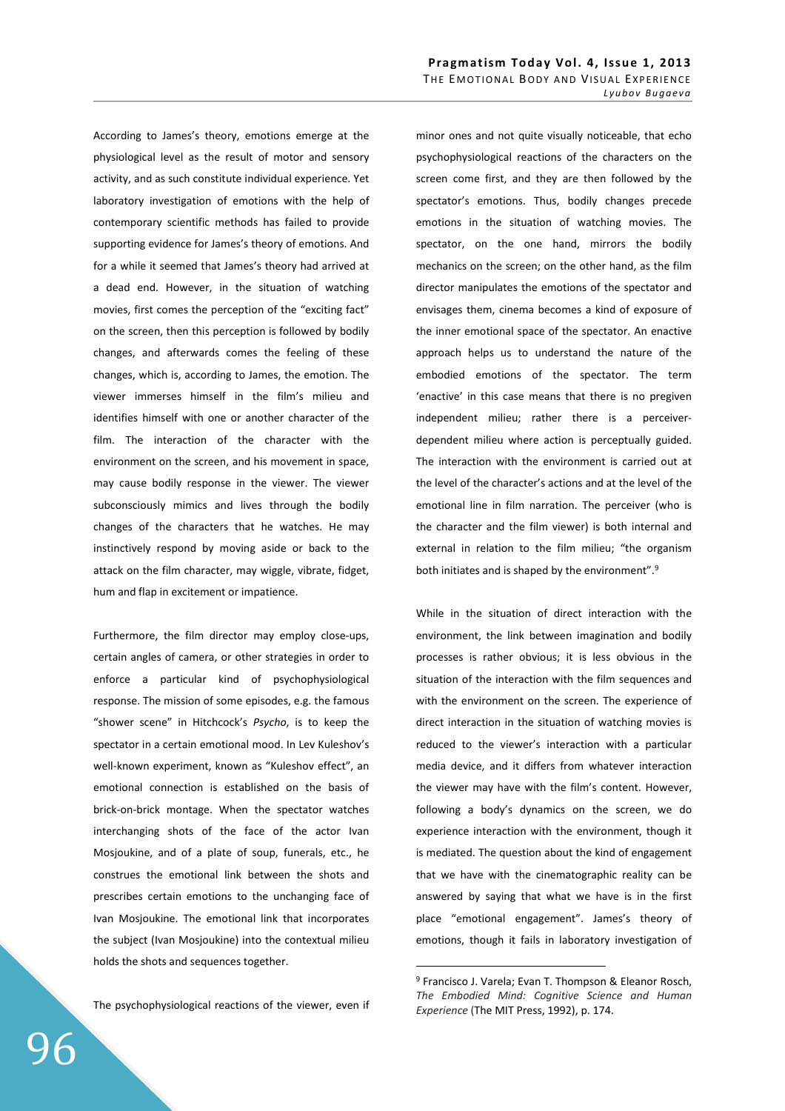According to James's theory, emotions emerge at the physiological level as the result of motor and sensory activity, and as such constitute individual experience. Yet laboratory investigation of emotions with the help of contemporary scientific methods has failed to provide supporting evidence for James's theory of emotions. And for a while it seemed that James's theory had arrived at a dead end. However, in the situation of watching movies, first comes the perception of the "exciting fact" on the screen, then this perception is followed by bodily changes, and afterwards comes the feeling of these changes, which is, according to James, the emotion. The viewer immerses himself in the film's milieu and identifies himself with one or another character of the film. The interaction of the character with the environment on the screen, and his movement in space, may cause bodily response in the viewer. The viewer subconsciously mimics and lives through the bodily changes of the characters that he watches. He may instinctively respond by moving aside or back to the attack on the film character, may wiggle, vibrate, fidget, hum and flap in excitement or impatience.

Furthermore, the film director may employ close-ups, certain angles of camera, or other strategies in order to enforce a particular kind of psychophysiological response. The mission of some episodes, e.g. the famous "shower scene" in Hitchcock's *Psycho*, is to keep the spectator in a certain emotional mood. In Lev Kuleshov's well-known experiment, known as "Kuleshov effect", an emotional connection is established on the basis of brick-on-brick montage. When the spectator watches interchanging shots of the face of the actor Ivan Mosjoukine, and of a plate of soup, funerals, etc., he construes the emotional link between the shots and prescribes certain emotions to the unchanging face of Ivan Mosjoukine. The emotional link that incorporates the subject (Ivan Mosjoukine) into the contextual milieu holds the shots and sequences together.

The psychophysiological reactions of the viewer, even if

minor ones and not quite visually noticeable, that echo psychophysiological reactions of the characters on the screen come first, and they are then followed by the spectator's emotions. Thus, bodily changes precede emotions in the situation of watching movies. The spectator, on the one hand, mirrors the bodily mechanics on the screen; on the other hand, as the film director manipulates the emotions of the spectator and envisages them, cinema becomes a kind of exposure of the inner emotional space of the spectator. An enactive approach helps us to understand the nature of the embodied emotions of the spectator. The term 'enactive' in this case means that there is no pregiven independent milieu; rather there is a perceiverdependent milieu where action is perceptually guided. The interaction with the environment is carried out at the level of the character's actions and at the level of the emotional line in film narration. The perceiver (who is the character and the film viewer) is both internal and external in relation to the film milieu; "the organism both initiates and is shaped by the environment".<sup>9</sup>

While in the situation of direct interaction with the environment, the link between imagination and bodily processes is rather obvious; it is less obvious in the situation of the interaction with the film sequences and with the environment on the screen. The experience of direct interaction in the situation of watching movies is reduced to the viewer's interaction with a particular media device, and it differs from whatever interaction the viewer may have with the film's content. However, following a body's dynamics on the screen, we do experience interaction with the environment, though it is mediated. The question about the kind of engagement that we have with the cinematographic reality can be answered by saying that what we have is in the first place "emotional engagement". James's theory of emotions, though it fails in laboratory investigation of

<sup>9</sup> Francisco J. Varela; Evan T. Thompson & Eleanor Rosch, *The Embodied Mind: Cognitive Science and Human Experience* (The MIT Press, 1992), p. 174.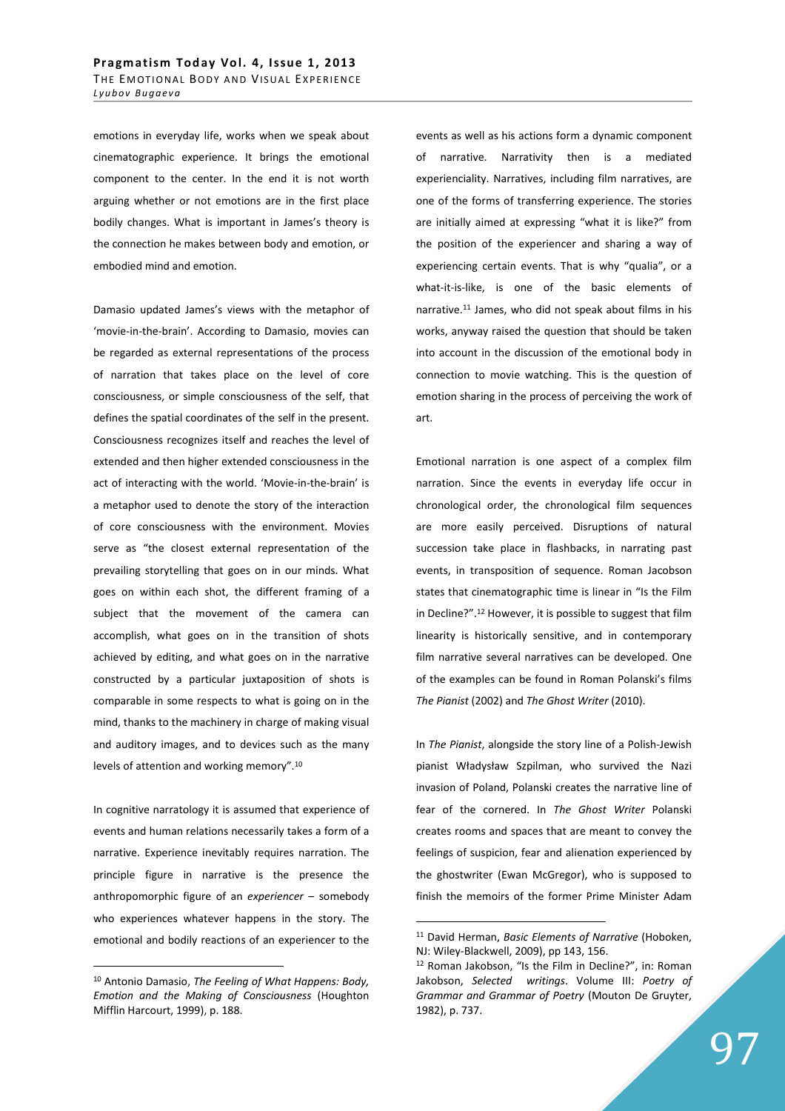emotions in everyday life, works when we speak about cinematographic experience. It brings the emotional component to the center. In the end it is not worth arguing whether or not emotions are in the first place bodily changes. What is important in James's theory is the connection he makes between body and emotion, or embodied mind and emotion.

Damasio updated James's views with the metaphor of 'movie-in-the-brain'. According to Damasio, movies can be regarded as external representations of the process of narration that takes place on the level of core consciousness, or simple consciousness of the self, that defines the spatial coordinates of the self in the present. Consciousness recognizes itself and reaches the level of extended and then higher extended consciousness in the act of interacting with the world. 'Movie-in-the-brain' is a metaphor used to denote the story of the interaction of core consciousness with the environment. Movies serve as "the closest external representation of the prevailing storytelling that goes on in our minds. What goes on within each shot, the different framing of a subject that the movement of the camera can accomplish, what goes on in the transition of shots achieved by editing, and what goes on in the narrative constructed by a particular juxtaposition of shots is comparable in some respects to what is going on in the mind, thanks to the machinery in charge of making visual and auditory images, and to devices such as the many levels of attention and working memory".<sup>10</sup>

In cognitive narratology it is assumed that experience of events and human relations necessarily takes a form of a narrative. Experience inevitably requires narration. The principle figure in narrative is the presence the anthropomorphic figure of an *experiencer* – somebody who experiences whatever happens in the story. The emotional and bodily reactions of an experiencer to the

 $\overline{a}$ 

events as well as his actions form a dynamic component of narrative. Narrativity then is a mediated experienciality. Narratives, including film narratives, are one of the forms of transferring experience. The stories are initially aimed at expressing "what it is like?" from the position of the experiencer and sharing a way of experiencing certain events. That is why "qualia", or a what-it-is-like, is one of the basic elements of narrative.<sup>11</sup> James, who did not speak about films in his works, anyway raised the question that should be taken into account in the discussion of the emotional body in connection to movie watching. This is the question of emotion sharing in the process of perceiving the work of art.

Emotional narration is one aspect of a complex film narration. Since the events in everyday life occur in chronological order, the chronological film sequences are more easily perceived. Disruptions of natural succession take place in flashbacks, in narrating past events, in transposition of sequence. Roman Jacobson states that cinematographic time is linear in "Is the Film in Decline?".<sup>12</sup> However, it is possible to suggest that film linearity is historically sensitive, and in contemporary film narrative several narratives can be developed. One of the examples can be found in Roman Polanski's films *The Pianist* (2002) and *The Ghost Writer* (2010).

In *The Pianist*, alongside the story line of a Polish-Jewish pianist Władysław Szpilman, who survived the Nazi invasion of Poland, Polanski creates the narrative line of fear of the cornered. In *The Ghost Writer* Polanski creates rooms and spaces that are meant to convey the feelings of suspicion, fear and alienation experienced by the ghostwriter (Ewan McGregor), who is supposed to finish the memoirs of the former Prime Minister Adam

<sup>10</sup> Antonio Damasio, *The Feeling of What Happens: Body, Emotion and the Making of Consciousness* (Houghton Mifflin Harcourt, 1999), p. 188.

<sup>11</sup> David Herman, *Basic Elements of Narrative* (Hoboken, NJ: Wiley-Blackwell, 2009), pp 143, 156.

<sup>12</sup> Roman Jakobson, "Is the Film in Decline?", in: Roman Jakobson, *Selected writings*. Volume III: *Poetry of Grammar and Grammar of Poetry* (Mouton De Gruyter, 1982), p. 737.